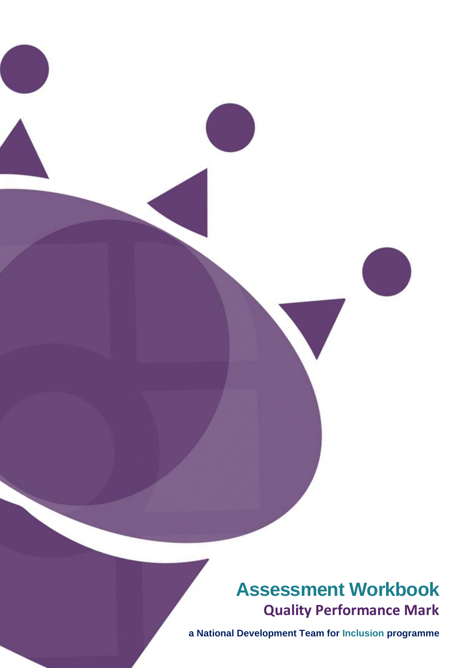**Assessment Workbook Quality Performance Mark**

**a National Development Team for Inclusion programme**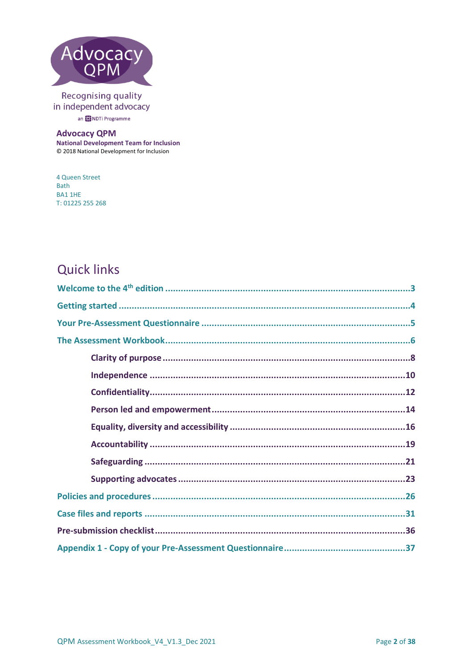

## Recognising quality in independent advocacy

an **(C)** NDTi Programme

### **Advocacy QPM**

**National Development Team for Inclusion** © 2018 National Development for Inclusion

4 Queen Street Bath **BA11HE** T: 01225 255 268

# **Quick links**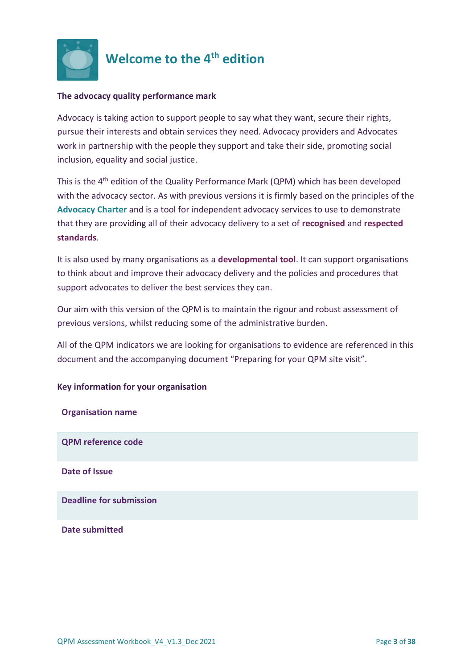

## <span id="page-2-0"></span>**Welcome to the 4th edition**

### **The advocacy quality performance mark**

Advocacy is taking action to support people to say what they want, secure their rights, pursue their interests and obtain services they need. Advocacy providers and Advocates work in partnership with the people they support and take their side, promoting social inclusion, equality and social justice.

This is the 4<sup>th</sup> edition of the Quality Performance Mark (QPM) which has been developed with the advocacy sector. As with previous versions it is firmly based on the principles of the **[Advocacy Charter](http://www.qualityadvocacy.org.uk/wp-content/uploads/2016/09/New-Advocacy-Charter.pdf)** and is a tool for independent advocacy services to use to demonstrate that they are providing all of their advocacy delivery to a set of **recognised** and **respected standards**.

It is also used by many organisations as a **developmental tool**. It can support organisations to think about and improve their advocacy delivery and the policies and procedures that support advocates to deliver the best services they can.

Our aim with this version of the QPM is to maintain the rigour and robust assessment of previous versions, whilst reducing some of the administrative burden.

All of the QPM indicators we are looking for organisations to evidence are referenced in this document and the accompanying document "Preparing for your QPM site visit".

## **Key information for your organisation**

| <b>Organisation name</b>       |
|--------------------------------|
| <b>QPM reference code</b>      |
| <b>Date of Issue</b>           |
| <b>Deadline for submission</b> |
| <b>Date submitted</b>          |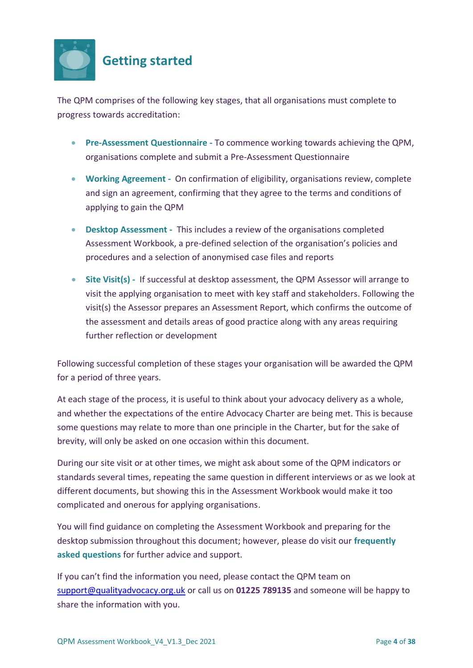<span id="page-3-0"></span>

The QPM comprises of the following key stages, that all organisations must complete to progress towards accreditation:

- **Pre-Assessment Questionnaire -** To commence working towards achieving the QPM, organisations complete and submit a Pre-Assessment Questionnaire
- **Working Agreement -** On confirmation of eligibility, organisations review, complete and sign an agreement, confirming that they agree to the terms and conditions of applying to gain the QPM
- **Desktop Assessment -** This includes a review of the organisations completed Assessment Workbook, a pre-defined selection of the organisation's policies and procedures and a selection of anonymised case files and reports
- **Site Visit(s) -** If successful at desktop assessment, the QPM Assessor will arrange to visit the applying organisation to meet with key staff and stakeholders. Following the visit(s) the Assessor prepares an Assessment Report, which confirms the outcome of the assessment and details areas of good practice along with any areas requiring further reflection or development

Following successful completion of these stages your organisation will be awarded the QPM for a period of three years.

At each stage of the process, it is useful to think about your advocacy delivery as a whole, and whether the expectations of the entire Advocacy Charter are being met. This is because some questions may relate to more than one principle in the Charter, but for the sake of brevity, will only be asked on one occasion within this document.

During our site visit or at other times, we might ask about some of the QPM indicators or standards several times, repeating the same question in different interviews or as we look at different documents, but showing this in the Assessment Workbook would make it too complicated and onerous for applying organisations.

You will find guidance on completing the Assessment Workbook and preparing for the desktop submission throughout this document; however, please do visit our **frequently asked questions** for further advice and support.

If you can't find the information you need, please contact the QPM team on [support@qualityadvocacy.org.uk](mailto:support@qualityadvocacy.org.uk) or call us on **01225 789135** and someone will be happy to share the information with you.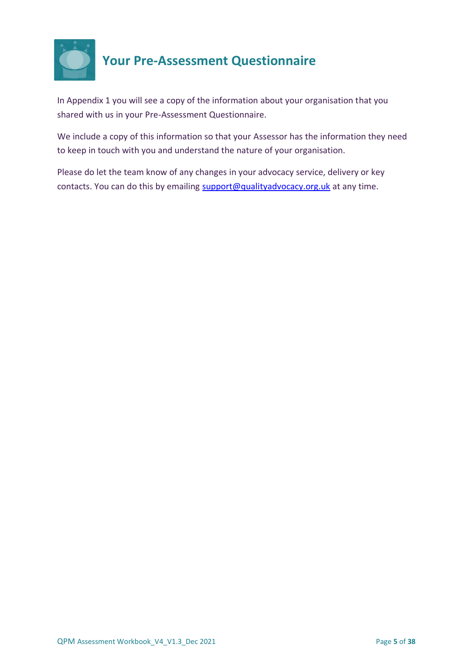

# <span id="page-4-0"></span>**Your Pre-Assessment Questionnaire**

In Appendix 1 you will see a copy of the information about your organisation that you shared with us in your Pre-Assessment Questionnaire.

We include a copy of this information so that your Assessor has the information they need to keep in touch with you and understand the nature of your organisation.

Please do let the team know of any changes in your advocacy service, delivery or key contacts. You can do this by emailing [support@qualityadvocacy.org.uk](mailto:support@qualityadvocacy.org.uk) at any time.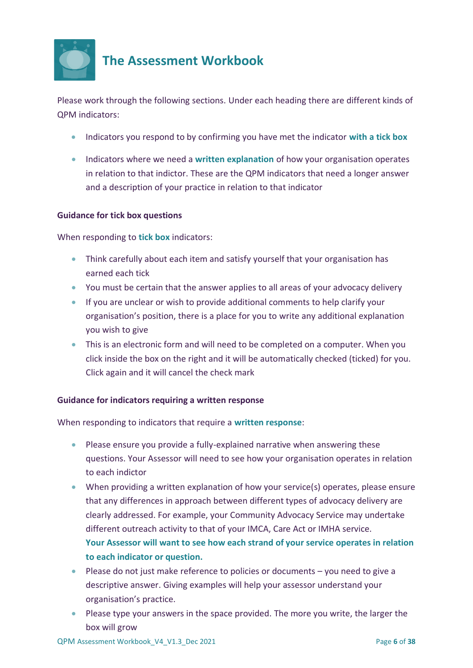

## <span id="page-5-0"></span>**The Assessment Workbook**

Please work through the following sections. Under each heading there are different kinds of QPM indicators:

- Indicators you respond to by confirming you have met the indicator **with a tick box**
- Indicators where we need a **written explanation** of how your organisation operates in relation to that indictor. These are the QPM indicators that need a longer answer and a description of your practice in relation to that indicator

### **Guidance for tick box questions**

When responding to **tick box** indicators:

- Think carefully about each item and satisfy yourself that your organisation has earned each tick
- You must be certain that the answer applies to all areas of your advocacy delivery
- If you are unclear or wish to provide additional comments to help clarify your organisation's position, there is a place for you to write any additional explanation you wish to give
- This is an electronic form and will need to be completed on a computer. When you click inside the box on the right and it will be automatically checked (ticked) for you. Click again and it will cancel the check mark

### **Guidance for indicators requiring a written response**

When responding to indicators that require a **written response**:

- Please ensure you provide a fully-explained narrative when answering these questions. Your Assessor will need to see how your organisation operates in relation to each indictor
- When providing a written explanation of how your service(s) operates, please ensure that any differences in approach between different types of advocacy delivery are clearly addressed. For example, your Community Advocacy Service may undertake different outreach activity to that of your IMCA, Care Act or IMHA service. **Your Assessor will want to see how each strand of your service operates in relation to each indicator or question.**
- Please do not just make reference to policies or documents you need to give a descriptive answer. Giving examples will help your assessor understand your organisation's practice.
- Please type your answers in the space provided. The more you write, the larger the box will grow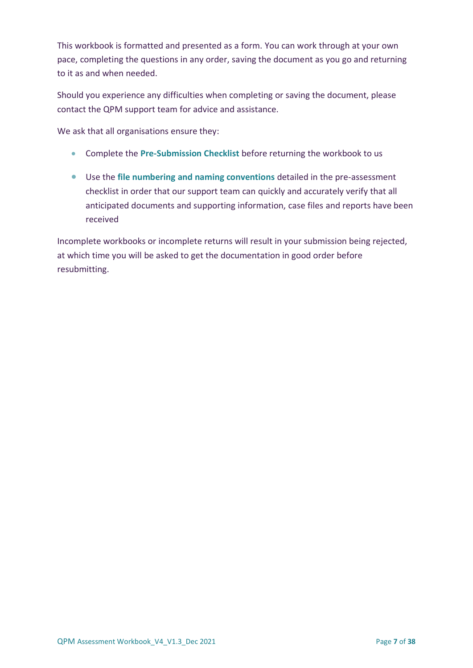This workbook is formatted and presented as a form. You can work through at your own pace, completing the questions in any order, saving the document as you go and returning to it as and when needed.

Should you experience any difficulties when completing or saving the document, please contact the QPM support team for advice and assistance.

We ask that all organisations ensure they:

- Complete the **Pre-Submission Checklist** before returning the workbook to us
- Use the **file numbering and naming conventions** detailed in the pre-assessment checklist in order that our support team can quickly and accurately verify that all anticipated documents and supporting information, case files and reports have been received

Incomplete workbooks or incomplete returns will result in your submission being rejected, at which time you will be asked to get the documentation in good order before resubmitting.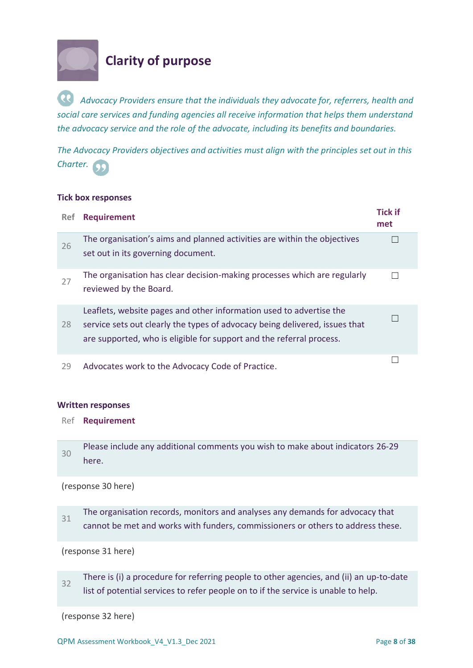

## <span id="page-7-0"></span>**Clarity of purpose**

*Advocacy Providers ensure that the individuals they advocate for, referrers, health and social care services and funding agencies all receive information that helps them understand the advocacy service and the role of the advocate, including its benefits and boundaries.*

*The Advocacy Providers objectives and activities must align with the principles set out in this Charter.*

#### **Tick box responses**

| <b>Ref</b> | <b>Requirement</b>                                                                                                                                                                                                         | <b>Tick if</b><br>met |
|------------|----------------------------------------------------------------------------------------------------------------------------------------------------------------------------------------------------------------------------|-----------------------|
| 26         | The organisation's aims and planned activities are within the objectives<br>set out in its governing document.                                                                                                             |                       |
| 27         | The organisation has clear decision-making processes which are regularly<br>reviewed by the Board.                                                                                                                         |                       |
| 28         | Leaflets, website pages and other information used to advertise the<br>service sets out clearly the types of advocacy being delivered, issues that<br>are supported, who is eligible for support and the referral process. |                       |
| 29         | Advocates work to the Advocacy Code of Practice.                                                                                                                                                                           |                       |

#### **Written responses**

- Ref **Requirement**
- 30 Please include any additional comments you wish to make about indicators 26-29 here.

(response 30 here)

31 The organisation records, monitors and analyses any demands for advocacy that cannot be met and works with funders, commissioners or others to address these.

(response 31 here)

32 There is (i) a procedure for referring people to other agencies, and (ii) an up-to-date list of potential services to refer people on to if the service is unable to help.

(response 32 here)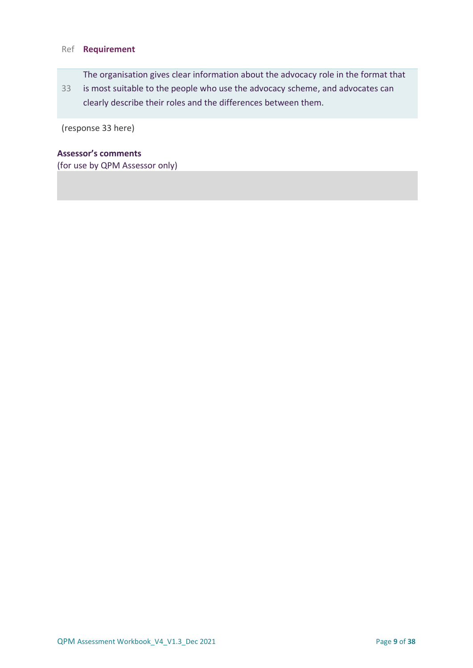### Ref **Requirement**

The organisation gives clear information about the advocacy role in the format that

33 is most suitable to the people who use the advocacy scheme, and advocates can clearly describe their roles and the differences between them.

(response 33 here)

## **Assessor's comments**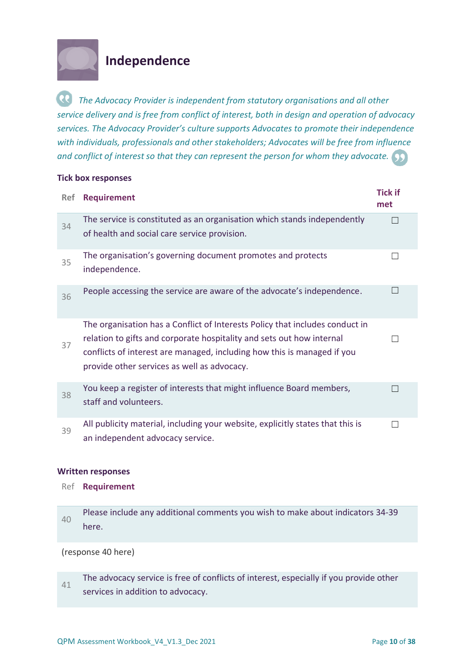

**Tick box responses**

## <span id="page-9-0"></span>**Independence**

*The Advocacy Provider is independent from statutory organisations and all other service delivery and is free from conflict of interest, both in design and operation of advocacy services. The Advocacy Provider's culture supports Advocates to promote their independence with individuals, professionals and other stakeholders; Advocates will be free from influence and conflict of interest so that they can represent the person for whom they advocate.*

| <b>Ref</b> | <b>Requirement</b>                                                                                                                                                                                                                                                              | <b>Tick if</b><br>met |
|------------|---------------------------------------------------------------------------------------------------------------------------------------------------------------------------------------------------------------------------------------------------------------------------------|-----------------------|
| 34         | The service is constituted as an organisation which stands independently<br>of health and social care service provision.                                                                                                                                                        |                       |
| 35         | The organisation's governing document promotes and protects<br>independence.                                                                                                                                                                                                    |                       |
| 36         | People accessing the service are aware of the advocate's independence.                                                                                                                                                                                                          |                       |
| 37         | The organisation has a Conflict of Interests Policy that includes conduct in<br>relation to gifts and corporate hospitality and sets out how internal<br>conflicts of interest are managed, including how this is managed if you<br>provide other services as well as advocacy. |                       |
| 38         | You keep a register of interests that might influence Board members,<br>staff and volunteers.                                                                                                                                                                                   |                       |
| 39         | All publicity material, including your website, explicitly states that this is<br>an independent advocacy service.                                                                                                                                                              |                       |

### **Written responses**

- Ref **Requirement**
- 40 Please include any additional comments you wish to make about indicators 34-39 here.

(response 40 here)

41 The advocacy service is free of conflicts of interest, especially if you provide other services in addition to advocacy.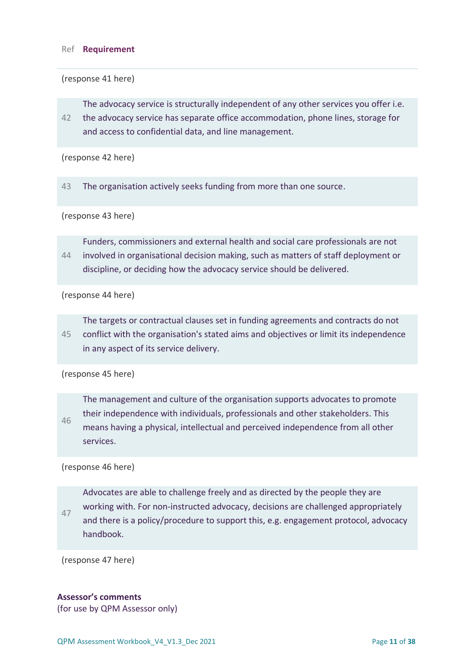#### Ref **Requirement**

(response 41 here)

The advocacy service is structurally independent of any other services you offer i.e.

42 the advocacy service has separate office accommodation, phone lines, storage for and access to confidential data, and line management.

(response 42 here)

43 The organisation actively seeks funding from more than one source.

(response 43 here)

44 Funders, commissioners and external health and social care professionals are not involved in organisational decision making, such as matters of staff deployment or discipline, or deciding how the advocacy service should be delivered.

(response 44 here)

45 The targets or contractual clauses set in funding agreements and contracts do not conflict with the organisation's stated aims and objectives or limit its independence in any aspect of its service delivery.

(response 45 here)

46 The management and culture of the organisation supports advocates to promote their independence with individuals, professionals and other stakeholders. This means having a physical, intellectual and perceived independence from all other services.

(response 46 here)

47 Advocates are able to challenge freely and as directed by the people they are working with. For non-instructed advocacy, decisions are challenged appropriately and there is a policy/procedure to support this, e.g. engagement protocol, advocacy handbook.

(response 47 here)

### **Assessor's comments**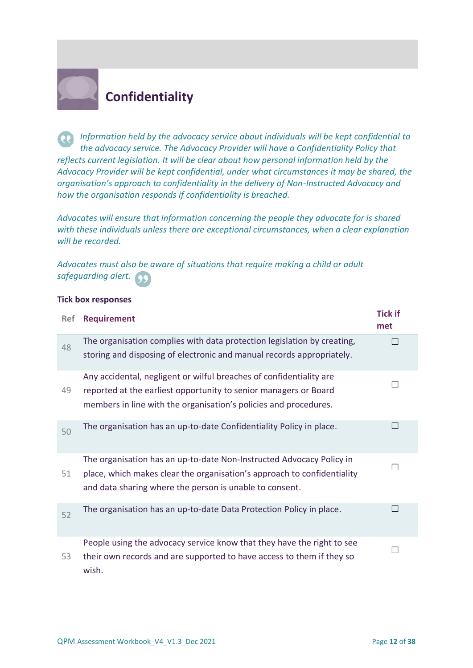

# <span id="page-11-0"></span>**Confidentiality**

*Information held by the advocacy service about individuals will be kept confidential to the advocacy service. The Advocacy Provider will have a Confidentiality Policy that reflects current legislation. It will be clear about how personal information held by the Advocacy Provider will be kept confidential, under what circumstances it may be shared, the organisation's approach to confidentiality in the delivery of Non-Instructed Advocacy and how the organisation responds if confidentiality is breached.* 

*Advocates will ensure that information concerning the people they advocate for is shared with these individuals unless there are exceptional circumstances, when a clear explanation will be recorded.* 

*Advocates must also be aware of situations that require making a child or adult safeguarding alert.*

#### **Tick box responses**

| <b>Ref</b> | <b>Requirement</b>                                                                                                                                                                                          | <b>Tick if</b><br>met |
|------------|-------------------------------------------------------------------------------------------------------------------------------------------------------------------------------------------------------------|-----------------------|
| 48         | The organisation complies with data protection legislation by creating,<br>storing and disposing of electronic and manual records appropriately.                                                            |                       |
| 49         | Any accidental, negligent or wilful breaches of confidentiality are<br>reported at the earliest opportunity to senior managers or Board<br>members in line with the organisation's policies and procedures. |                       |
| 50         | The organisation has an up-to-date Confidentiality Policy in place.                                                                                                                                         |                       |
| 51         | The organisation has an up-to-date Non-Instructed Advocacy Policy in<br>place, which makes clear the organisation's approach to confidentiality<br>and data sharing where the person is unable to consent.  |                       |
| 52         | The organisation has an up-to-date Data Protection Policy in place.                                                                                                                                         |                       |
| 53         | People using the advocacy service know that they have the right to see<br>their own records and are supported to have access to them if they so<br>wish.                                                    |                       |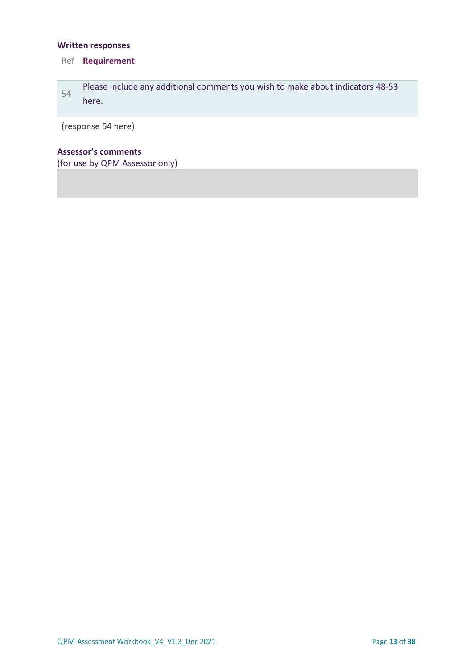## **Written responses**

## Ref **Requirement**

| 54 | Please include any additional comments you wish to make about indicators 48-53 |
|----|--------------------------------------------------------------------------------|
|    | here.                                                                          |

(response 54 here)

## **Assessor's comments**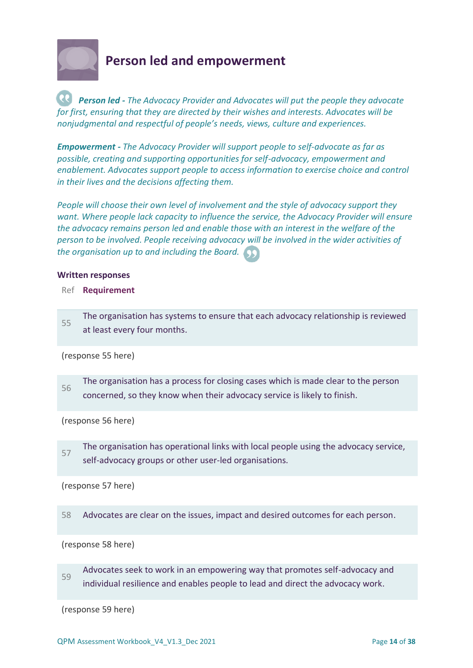

## <span id="page-13-0"></span>**Person led and empowerment**

*Person led - The Advocacy Provider and Advocates will put the people they advocate for first, ensuring that they are directed by their wishes and interests. Advocates will be nonjudgmental and respectful of people's needs, views, culture and experiences.*

*Empowerment - The Advocacy Provider will support people to self-advocate as far as possible, creating and supporting opportunities for self-advocacy, empowerment and enablement. Advocates support people to access information to exercise choice and control in their lives and the decisions affecting them.* 

*People will choose their own level of involvement and the style of advocacy support they want. Where people lack capacity to influence the service, the Advocacy Provider will ensure the advocacy remains person led and enable those with an interest in the welfare of the person to be involved. People receiving advocacy will be involved in the wider activities of the organisation up to and including the Board.*

#### **Written responses**

Ref **Requirement**

55 The organisation has systems to ensure that each advocacy relationship is reviewed at least every four months.

(response 55 here)

56 The organisation has a process for closing cases which is made clear to the person concerned, so they know when their advocacy service is likely to finish.

(response 56 here)

57 The organisation has operational links with local people using the advocacy service, self-advocacy groups or other user-led organisations.

(response 57 here)

58 Advocates are clear on the issues, impact and desired outcomes for each person.

(response 58 here)

59 Advocates seek to work in an empowering way that promotes self-advocacy and individual resilience and enables people to lead and direct the advocacy work.

(response 59 here)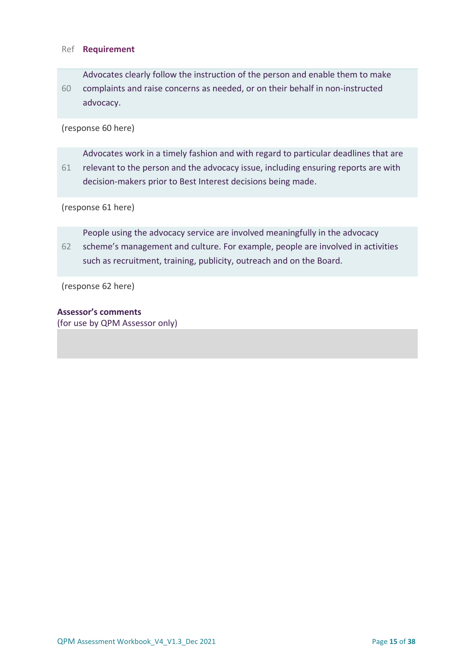#### Ref **Requirement**

60 Advocates clearly follow the instruction of the person and enable them to make complaints and raise concerns as needed, or on their behalf in non-instructed advocacy.

(response 60 here)

61 Advocates work in a timely fashion and with regard to particular deadlines that are relevant to the person and the advocacy issue, including ensuring reports are with decision-makers prior to Best Interest decisions being made.

(response 61 here)

People using the advocacy service are involved meaningfully in the advocacy

62 scheme's management and culture. For example, people are involved in activities such as recruitment, training, publicity, outreach and on the Board.

(response 62 here)

### **Assessor's comments**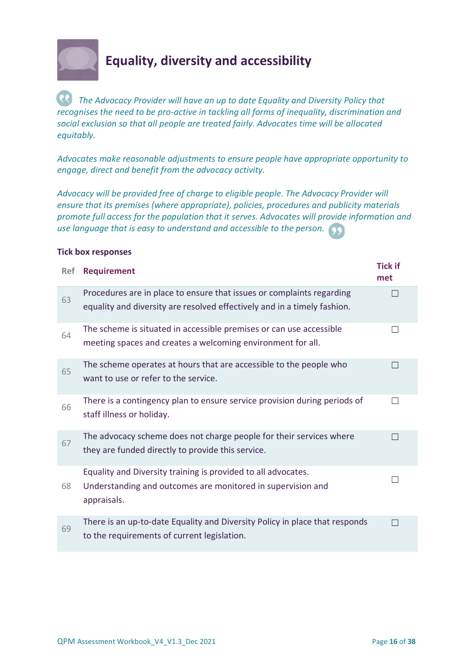

# <span id="page-15-0"></span>**Equality, diversity and accessibility**

*The Advocacy Provider will have an up to date Equality and Diversity Policy that recognises the need to be pro-active in tackling all forms of inequality, discrimination and social exclusion so that all people are treated fairly. Advocates time will be allocated equitably.* 

*Advocates make reasonable adjustments to ensure people have appropriate opportunity to engage, direct and benefit from the advocacy activity.* 

*Advocacy will be provided free of charge to eligible people. The Advocacy Provider will ensure that its premises (where appropriate), policies, procedures and publicity materials promote full access for the population that it serves. Advocates will provide information and use language that is easy to understand and accessible to the person.*

| <b>Ref</b> | <b>Requirement</b>                                                                                                                                | <b>Tick if</b><br>met |
|------------|---------------------------------------------------------------------------------------------------------------------------------------------------|-----------------------|
| 63         | Procedures are in place to ensure that issues or complaints regarding<br>equality and diversity are resolved effectively and in a timely fashion. |                       |
| 64         | The scheme is situated in accessible premises or can use accessible<br>meeting spaces and creates a welcoming environment for all.                |                       |
| 65         | The scheme operates at hours that are accessible to the people who<br>want to use or refer to the service.                                        |                       |
| 66         | There is a contingency plan to ensure service provision during periods of<br>staff illness or holiday.                                            | $\sim$                |
| 67         | The advocacy scheme does not charge people for their services where<br>they are funded directly to provide this service.                          |                       |
| 68         | Equality and Diversity training is provided to all advocates.<br>Understanding and outcomes are monitored in supervision and<br>appraisals.       |                       |
| 69         | There is an up-to-date Equality and Diversity Policy in place that responds<br>to the requirements of current legislation.                        |                       |

#### **Tick box responses**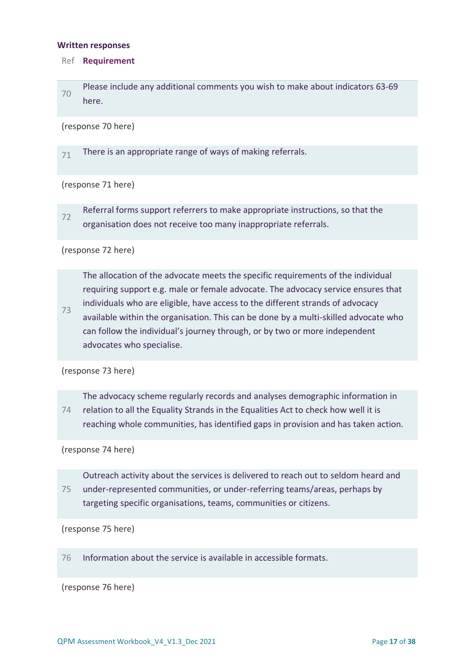#### **Written responses**

#### Ref **Requirement**

70 Please include any additional comments you wish to make about indicators 63-69 here.

(response 70 here)

71 There is an appropriate range of ways of making referrals.

(response 71 here)

72 Referral forms support referrers to make appropriate instructions, so that the organisation does not receive too many inappropriate referrals.

#### (response 72 here)

The allocation of the advocate meets the specific requirements of the individual requiring support e.g. male or female advocate. The advocacy service ensures that individuals who are eligible, have access to the different strands of advocacy

73 available within the organisation. This can be done by a multi-skilled advocate who can follow the individual's journey through, or by two or more independent advocates who specialise.

(response 73 here)

74 The advocacy scheme regularly records and analyses demographic information in relation to all the Equality Strands in the Equalities Act to check how well it is reaching whole communities, has identified gaps in provision and has taken action.

(response 74 here)

75 Outreach activity about the services is delivered to reach out to seldom heard and under-represented communities, or under-referring teams/areas, perhaps by targeting specific organisations, teams, communities or citizens.

(response 75 here)

76 Information about the service is available in accessible formats.

(response 76 here)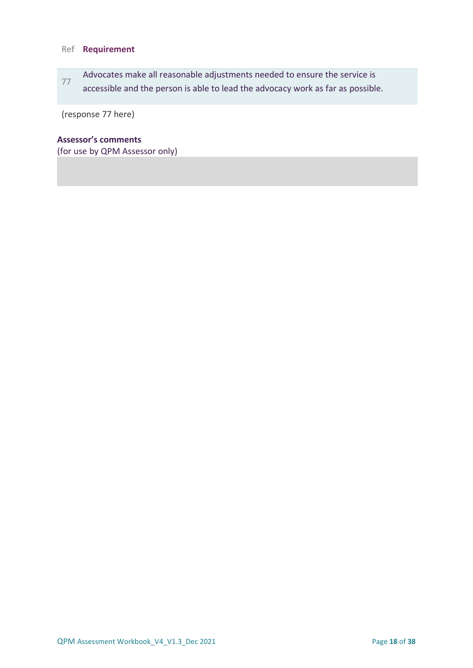## Ref **Requirement**

77 Advocates make all reasonable adjustments needed to ensure the service is accessible and the person is able to lead the advocacy work as far as possible.

(response 77 here)

## **Assessor's comments**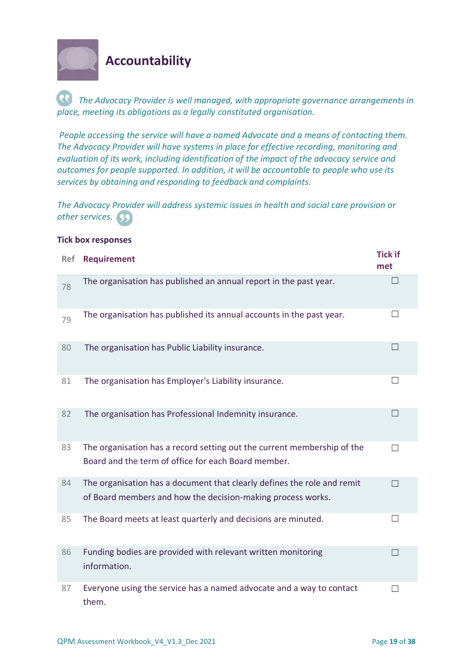

## <span id="page-18-0"></span>**Accountability**

*The Advocacy Provider is well managed, with appropriate governance arrangements in place, meeting its obligations as a legally constituted organisation.*

*People accessing the service will have a named Advocate and a means of contacting them. The Advocacy Provider will have systems in place for effective recording, monitoring and evaluation of its work, including identification of the impact of the advocacy service and outcomes for people supported. In addition, it will be accountable to people who use its services by obtaining and responding to feedback and complaints.* 

*The Advocacy Provider will address systemic issues in health and social care provision or other services.*

| <b>Ref</b> | <b>Requirement</b>                                                                                                                     | <b>Tick if</b><br>met |
|------------|----------------------------------------------------------------------------------------------------------------------------------------|-----------------------|
| 78         | The organisation has published an annual report in the past year.                                                                      | П                     |
| 79         | The organisation has published its annual accounts in the past year.                                                                   | $\mathsf{L}$          |
| 80         | The organisation has Public Liability insurance.                                                                                       | $\Box$                |
| 81         | The organisation has Employer's Liability insurance.                                                                                   | $\perp$               |
| 82         | The organisation has Professional Indemnity insurance.                                                                                 | $\Box$                |
| 83         | The organisation has a record setting out the current membership of the<br>Board and the term of office for each Board member.         | П                     |
| 84         | The organisation has a document that clearly defines the role and remit<br>of Board members and how the decision-making process works. | $\vert \ \ \vert$     |
| 85         | The Board meets at least quarterly and decisions are minuted.                                                                          | $\perp$               |
| 86         | Funding bodies are provided with relevant written monitoring<br>information.                                                           | $\vert \ \ \vert$     |
| 87         | Everyone using the service has a named advocate and a way to contact<br>them.                                                          | $\Box$                |

#### **Tick box responses**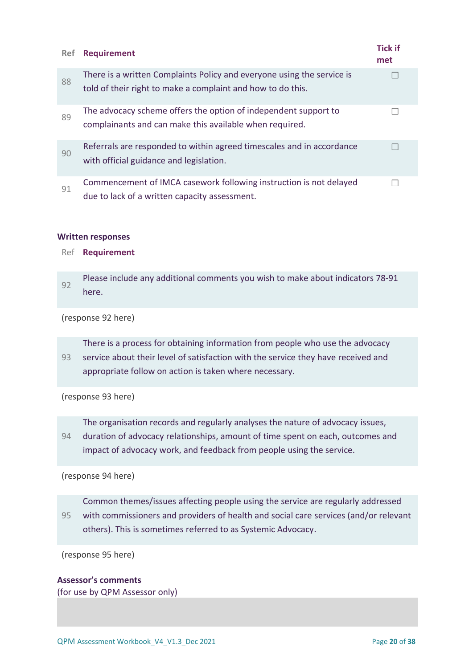| <b>Ref</b> | <b>Requirement</b>                                                                                                                    | <b>Tick if</b><br>met |
|------------|---------------------------------------------------------------------------------------------------------------------------------------|-----------------------|
| 88         | There is a written Complaints Policy and everyone using the service is<br>told of their right to make a complaint and how to do this. |                       |
| 89         | The advocacy scheme offers the option of independent support to<br>complainants and can make this available when required.            |                       |
| 90         | Referrals are responded to within agreed timescales and in accordance<br>with official guidance and legislation.                      |                       |
| 91         | Commencement of IMCA casework following instruction is not delayed<br>due to lack of a written capacity assessment.                   |                       |

### **Written responses**

#### Ref **Requirement**

92 Please include any additional comments you wish to make about indicators 78-91 here.

(response 92 here)

There is a process for obtaining information from people who use the advocacy

93 service about their level of satisfaction with the service they have received and appropriate follow on action is taken where necessary.

(response 93 here)

The organisation records and regularly analyses the nature of advocacy issues,

94 duration of advocacy relationships, amount of time spent on each, outcomes and impact of advocacy work, and feedback from people using the service.

(response 94 here)

95 Common themes/issues affecting people using the service are regularly addressed with commissioners and providers of health and social care services (and/or relevant others). This is sometimes referred to as Systemic Advocacy.

(response 95 here)

### **Assessor's comments**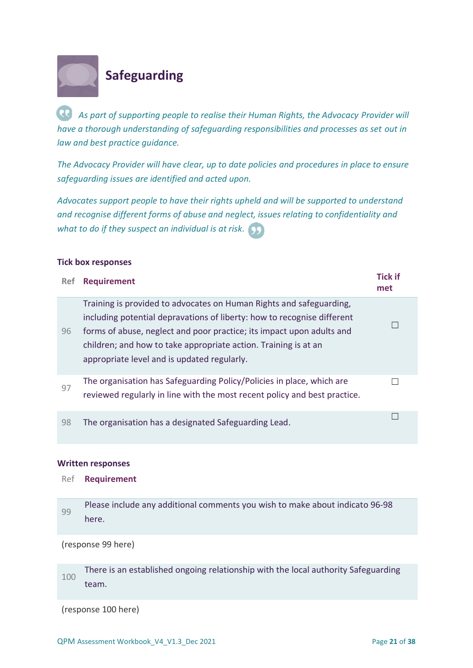

# <span id="page-20-0"></span>**Safeguarding**

*As part of supporting people to realise their Human Rights, the Advocacy Provider will have a thorough understanding of safeguarding responsibilities and processes as set out in law and best practice guidance.* 

*The Advocacy Provider will have clear, up to date policies and procedures in place to ensure safeguarding issues are identified and acted upon.* 

*Advocates support people to have their rights upheld and will be supported to understand and recognise different forms of abuse and neglect, issues relating to confidentiality and what to do if they suspect an individual is at risk.*

### **Tick box responses**

| Ref | <b>Requirement</b>                                                                                                                                                                                                                                                                                                                        | <b>Tick if</b><br>met |
|-----|-------------------------------------------------------------------------------------------------------------------------------------------------------------------------------------------------------------------------------------------------------------------------------------------------------------------------------------------|-----------------------|
| 96  | Training is provided to advocates on Human Rights and safeguarding,<br>including potential depravations of liberty: how to recognise different<br>forms of abuse, neglect and poor practice; its impact upon adults and<br>children; and how to take appropriate action. Training is at an<br>appropriate level and is updated regularly. |                       |
| 97  | The organisation has Safeguarding Policy/Policies in place, which are<br>reviewed regularly in line with the most recent policy and best practice.                                                                                                                                                                                        |                       |
| 98  | The organisation has a designated Safeguarding Lead.                                                                                                                                                                                                                                                                                      |                       |

### **Written responses**

#### Ref **Requirement**

99 Please include any additional comments you wish to make about indicato 96-98 here.

(response 99 here)

100 There is an established ongoing relationship with the local authority Safeguarding team.

(response 100 here)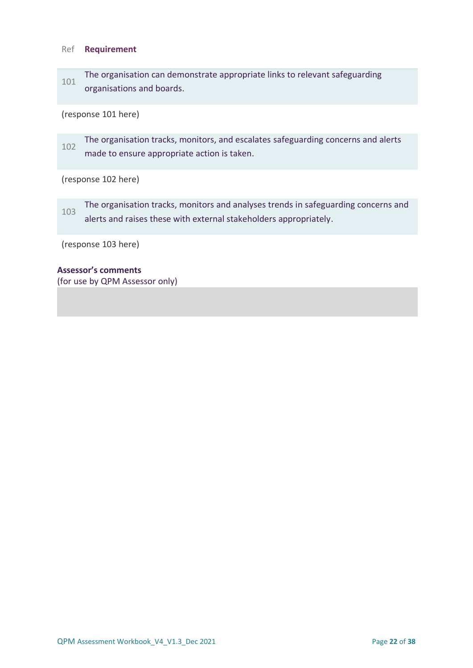### Ref **Requirement**

101 The organisation can demonstrate appropriate links to relevant safeguarding organisations and boards.

(response 101 here)

102 The organisation tracks, monitors, and escalates safeguarding concerns and alerts made to ensure appropriate action is taken.

### (response 102 here)

103 The organisation tracks, monitors and analyses trends in safeguarding concerns and alerts and raises these with external stakeholders appropriately.

(response 103 here)

#### **Assessor's comments**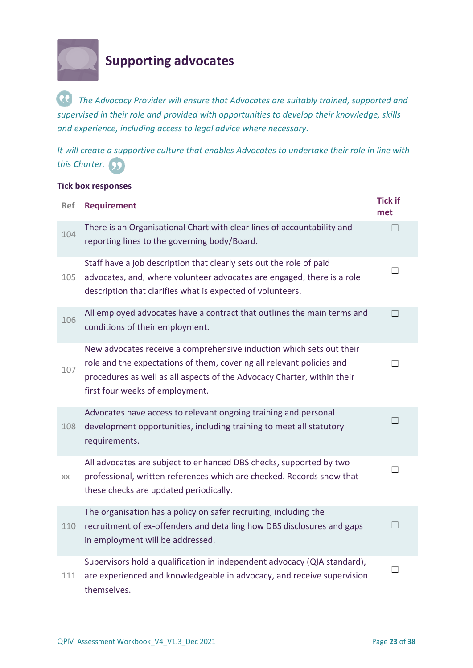

# <span id="page-22-0"></span>**Supporting advocates**

*The Advocacy Provider will ensure that Advocates are suitably trained, supported and supervised in their role and provided with opportunities to develop their knowledge, skills and experience, including access to legal advice where necessary.* 

*It will create a supportive culture that enables Advocates to undertake their role in line with this Charter.*

## **Tick box responses**

| <b>Ref</b> | <b>Requirement</b>                                                                                                                                                                                                                                          | <b>Tick if</b><br>met |
|------------|-------------------------------------------------------------------------------------------------------------------------------------------------------------------------------------------------------------------------------------------------------------|-----------------------|
| 104        | There is an Organisational Chart with clear lines of accountability and<br>reporting lines to the governing body/Board.                                                                                                                                     | П                     |
| 105        | Staff have a job description that clearly sets out the role of paid<br>advocates, and, where volunteer advocates are engaged, there is a role<br>description that clarifies what is expected of volunteers.                                                 | $\Box$                |
| 106        | All employed advocates have a contract that outlines the main terms and<br>conditions of their employment.                                                                                                                                                  | $\Box$                |
| 107        | New advocates receive a comprehensive induction which sets out their<br>role and the expectations of them, covering all relevant policies and<br>procedures as well as all aspects of the Advocacy Charter, within their<br>first four weeks of employment. | П                     |
| 108        | Advocates have access to relevant ongoing training and personal<br>development opportunities, including training to meet all statutory<br>requirements.                                                                                                     |                       |
| XX         | All advocates are subject to enhanced DBS checks, supported by two<br>professional, written references which are checked. Records show that<br>these checks are updated periodically.                                                                       | $\Box$                |
| 110        | The organisation has a policy on safer recruiting, including the<br>recruitment of ex-offenders and detailing how DBS disclosures and gaps<br>in employment will be addressed.                                                                              | П                     |
| 111        | Supervisors hold a qualification in independent advocacy (QIA standard),<br>are experienced and knowledgeable in advocacy, and receive supervision<br>themselves.                                                                                           | $\Box$                |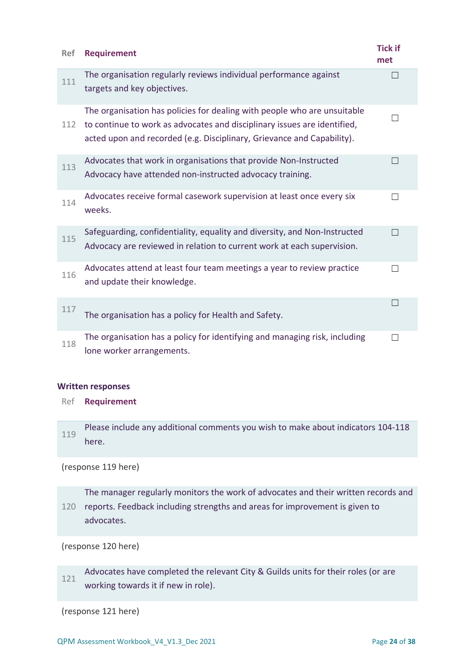| <b>Ref</b> | <b>Requirement</b>                                                                                                                                                                                                             | <b>Tick if</b><br>met |
|------------|--------------------------------------------------------------------------------------------------------------------------------------------------------------------------------------------------------------------------------|-----------------------|
| 111        | The organisation regularly reviews individual performance against<br>targets and key objectives.                                                                                                                               |                       |
| 112        | The organisation has policies for dealing with people who are unsuitable<br>to continue to work as advocates and disciplinary issues are identified,<br>acted upon and recorded (e.g. Disciplinary, Grievance and Capability). |                       |
| 113        | Advocates that work in organisations that provide Non-Instructed<br>Advocacy have attended non-instructed advocacy training.                                                                                                   |                       |
| 114        | Advocates receive formal casework supervision at least once every six<br>weeks.                                                                                                                                                |                       |
| 115        | Safeguarding, confidentiality, equality and diversity, and Non-Instructed<br>Advocacy are reviewed in relation to current work at each supervision.                                                                            |                       |
| 116        | Advocates attend at least four team meetings a year to review practice<br>and update their knowledge.                                                                                                                          |                       |
| 117        | The organisation has a policy for Health and Safety.                                                                                                                                                                           |                       |
| 118        | The organisation has a policy for identifying and managing risk, including<br>lone worker arrangements.                                                                                                                        |                       |

### **Written responses**

Ref **Requirement**

119 Please include any additional comments you wish to make about indicators 104-118 here.

### (response 119 here)

120 reports. Feedback including strengths and areas for improvement is given to The manager regularly monitors the work of advocates and their written records and advocates.

(response 120 here)

121 Advocates have completed the relevant City & Guilds units for their roles (or are working towards it if new in role).

(response 121 here)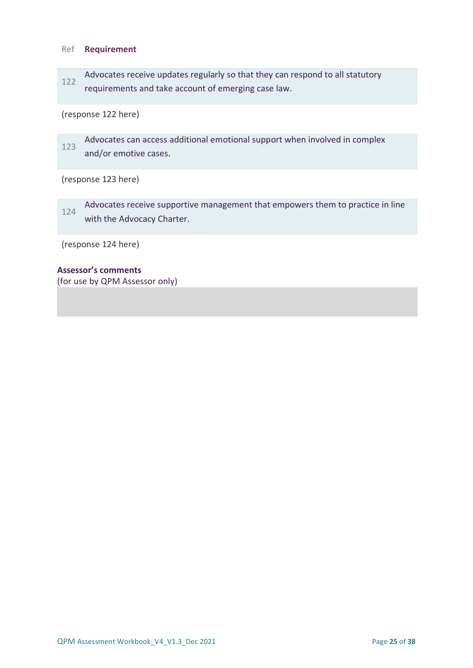### Ref **Requirement**

122 Advocates receive updates regularly so that they can respond to all statutory requirements and take account of emerging case law.

## (response 122 here)

123 Advocates can access additional emotional support when involved in complex and/or emotive cases.

### (response 123 here)

124 Advocates receive supportive management that empowers them to practice in line with the Advocacy Charter.

(response 124 here)

#### **Assessor's comments**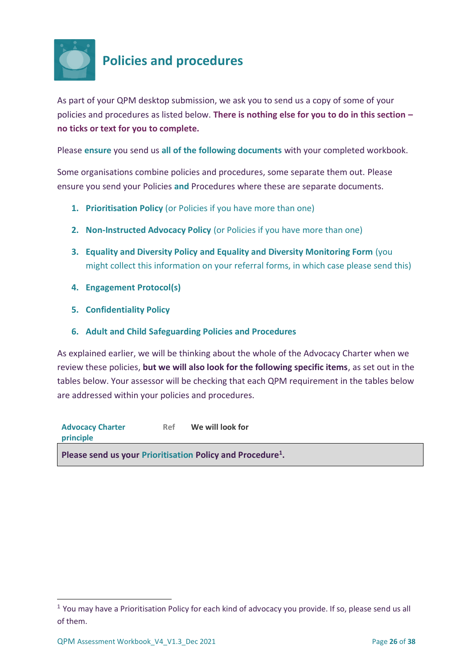

## <span id="page-25-0"></span>**Policies and procedures**

As part of your QPM desktop submission, we ask you to send us a copy of some of your policies and procedures as listed below. **There is nothing else for you to do in this section – no ticks or text for you to complete.**

Please **ensure** you send us **all of the following documents** with your completed workbook.

Some organisations combine policies and procedures, some separate them out. Please ensure you send your Policies **and** Procedures where these are separate documents.

- **1. Prioritisation Policy** (or Policies if you have more than one)
- **2. Non-Instructed Advocacy Policy** (or Policies if you have more than one)
- **3. Equality and Diversity Policy and Equality and Diversity Monitoring Form** (you might collect this information on your referral forms, in which case please send this)
- **4. Engagement Protocol(s)**
- **5. Confidentiality Policy**
- **6. Adult and Child Safeguarding Policies and Procedures**

As explained earlier, we will be thinking about the whole of the Advocacy Charter when we review these policies, **but we will also look for the following specific items**, as set out in the tables below. Your assessor will be checking that each QPM requirement in the tables below are addressed within your policies and procedures.

**Advocacy Charter principle Ref We will look for Please send us your Prioritisation Policy and Procedure<sup>1</sup> .**

<sup>&</sup>lt;sup>1</sup> You may have a Prioritisation Policy for each kind of advocacy you provide. If so, please send us all of them.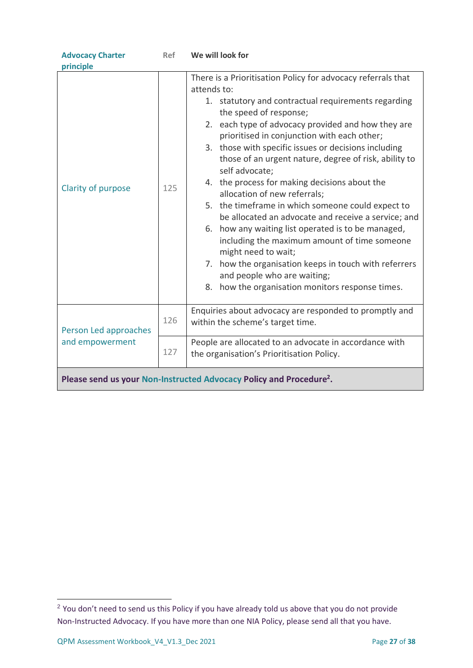| <b>Advocacy Charter</b>                                                         | <b>Ref</b> | We will look for                                                                                                                                                                                                                                                                                                                                                                                                                                                                                                                                                                                                                                                                                                                                                                                                                                                           |  |  |
|---------------------------------------------------------------------------------|------------|----------------------------------------------------------------------------------------------------------------------------------------------------------------------------------------------------------------------------------------------------------------------------------------------------------------------------------------------------------------------------------------------------------------------------------------------------------------------------------------------------------------------------------------------------------------------------------------------------------------------------------------------------------------------------------------------------------------------------------------------------------------------------------------------------------------------------------------------------------------------------|--|--|
| principle                                                                       |            |                                                                                                                                                                                                                                                                                                                                                                                                                                                                                                                                                                                                                                                                                                                                                                                                                                                                            |  |  |
| Clarity of purpose                                                              | 125        | There is a Prioritisation Policy for advocacy referrals that<br>attends to:<br>1. statutory and contractual requirements regarding<br>the speed of response;<br>2. each type of advocacy provided and how they are<br>prioritised in conjunction with each other;<br>3. those with specific issues or decisions including<br>those of an urgent nature, degree of risk, ability to<br>self advocate;<br>4. the process for making decisions about the<br>allocation of new referrals;<br>5. the timeframe in which someone could expect to<br>be allocated an advocate and receive a service; and<br>6. how any waiting list operated is to be managed,<br>including the maximum amount of time someone<br>might need to wait;<br>7. how the organisation keeps in touch with referrers<br>and people who are waiting;<br>8. how the organisation monitors response times. |  |  |
| Person Led approaches                                                           | 126        | Enquiries about advocacy are responded to promptly and<br>within the scheme's target time.                                                                                                                                                                                                                                                                                                                                                                                                                                                                                                                                                                                                                                                                                                                                                                                 |  |  |
| and empowerment                                                                 | 127        | People are allocated to an advocate in accordance with<br>the organisation's Prioritisation Policy.                                                                                                                                                                                                                                                                                                                                                                                                                                                                                                                                                                                                                                                                                                                                                                        |  |  |
| Please send us your Non-Instructed Advocacy Policy and Procedure <sup>2</sup> . |            |                                                                                                                                                                                                                                                                                                                                                                                                                                                                                                                                                                                                                                                                                                                                                                                                                                                                            |  |  |

<sup>&</sup>lt;sup>2</sup> You don't need to send us this Policy if you have already told us above that you do not provide Non-Instructed Advocacy. If you have more than one NIA Policy, please send all that you have.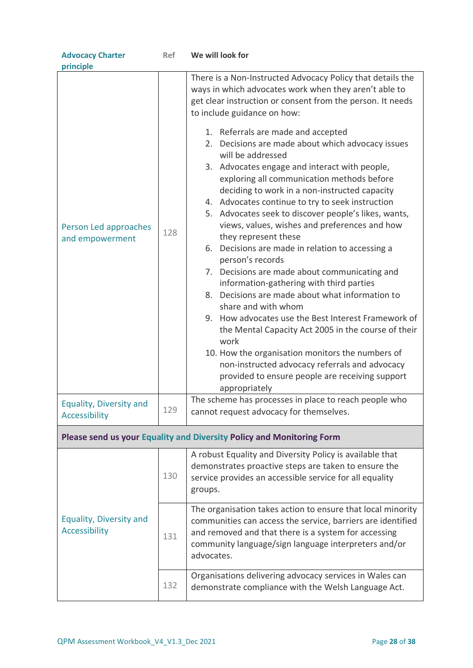| <b>Advocacy Charter</b>                                               | Ref | We will look for                                                                                                                                                                                                                                                                                                                                                                                                                                                                                                                                                                                                                                                                                                                                                                                                                                                                                                                                                                                                                                                                                                                                                                                                     |  |  |
|-----------------------------------------------------------------------|-----|----------------------------------------------------------------------------------------------------------------------------------------------------------------------------------------------------------------------------------------------------------------------------------------------------------------------------------------------------------------------------------------------------------------------------------------------------------------------------------------------------------------------------------------------------------------------------------------------------------------------------------------------------------------------------------------------------------------------------------------------------------------------------------------------------------------------------------------------------------------------------------------------------------------------------------------------------------------------------------------------------------------------------------------------------------------------------------------------------------------------------------------------------------------------------------------------------------------------|--|--|
| principle<br>Person Led approaches<br>and empowerment                 | 128 | There is a Non-Instructed Advocacy Policy that details the<br>ways in which advocates work when they aren't able to<br>get clear instruction or consent from the person. It needs<br>to include guidance on how:<br>1. Referrals are made and accepted<br>2. Decisions are made about which advocacy issues<br>will be addressed<br>3. Advocates engage and interact with people,<br>exploring all communication methods before<br>deciding to work in a non-instructed capacity<br>4. Advocates continue to try to seek instruction<br>5. Advocates seek to discover people's likes, wants,<br>views, values, wishes and preferences and how<br>they represent these<br>6. Decisions are made in relation to accessing a<br>person's records<br>7. Decisions are made about communicating and<br>information-gathering with third parties<br>8. Decisions are made about what information to<br>share and with whom<br>9. How advocates use the Best Interest Framework of<br>the Mental Capacity Act 2005 in the course of their<br>work<br>10. How the organisation monitors the numbers of<br>non-instructed advocacy referrals and advocacy<br>provided to ensure people are receiving support<br>appropriately |  |  |
| Equality, Diversity and<br>Accessibility                              | 129 | The scheme has processes in place to reach people who<br>cannot request advocacy for themselves.                                                                                                                                                                                                                                                                                                                                                                                                                                                                                                                                                                                                                                                                                                                                                                                                                                                                                                                                                                                                                                                                                                                     |  |  |
| Please send us your Equality and Diversity Policy and Monitoring Form |     |                                                                                                                                                                                                                                                                                                                                                                                                                                                                                                                                                                                                                                                                                                                                                                                                                                                                                                                                                                                                                                                                                                                                                                                                                      |  |  |
|                                                                       | 130 | A robust Equality and Diversity Policy is available that<br>demonstrates proactive steps are taken to ensure the<br>service provides an accessible service for all equality<br>groups.                                                                                                                                                                                                                                                                                                                                                                                                                                                                                                                                                                                                                                                                                                                                                                                                                                                                                                                                                                                                                               |  |  |
| Equality, Diversity and<br><b>Accessibility</b>                       | 131 | The organisation takes action to ensure that local minority<br>communities can access the service, barriers are identified<br>and removed and that there is a system for accessing<br>community language/sign language interpreters and/or<br>advocates.                                                                                                                                                                                                                                                                                                                                                                                                                                                                                                                                                                                                                                                                                                                                                                                                                                                                                                                                                             |  |  |
|                                                                       | 132 | Organisations delivering advocacy services in Wales can<br>demonstrate compliance with the Welsh Language Act.                                                                                                                                                                                                                                                                                                                                                                                                                                                                                                                                                                                                                                                                                                                                                                                                                                                                                                                                                                                                                                                                                                       |  |  |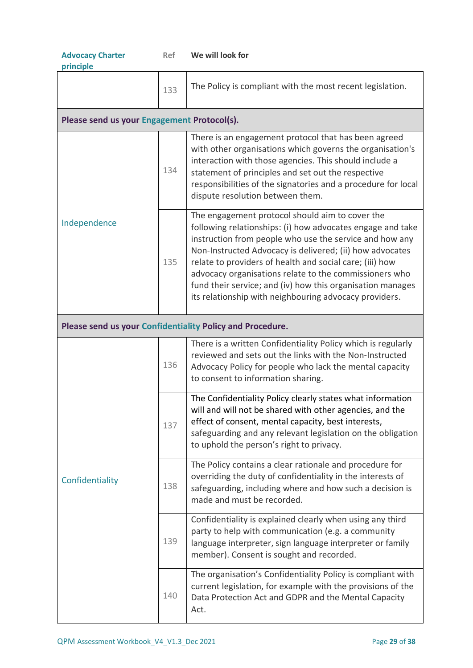| <b>Advocacy Charter</b><br>principle        | <b>Ref</b> | We will look for                                                                                                                                                                                                                                                                                                                                                                                                                                                                   |  |  |
|---------------------------------------------|------------|------------------------------------------------------------------------------------------------------------------------------------------------------------------------------------------------------------------------------------------------------------------------------------------------------------------------------------------------------------------------------------------------------------------------------------------------------------------------------------|--|--|
|                                             | 133        | The Policy is compliant with the most recent legislation.                                                                                                                                                                                                                                                                                                                                                                                                                          |  |  |
| Please send us your Engagement Protocol(s). |            |                                                                                                                                                                                                                                                                                                                                                                                                                                                                                    |  |  |
|                                             | 134        | There is an engagement protocol that has been agreed<br>with other organisations which governs the organisation's<br>interaction with those agencies. This should include a<br>statement of principles and set out the respective<br>responsibilities of the signatories and a procedure for local<br>dispute resolution between them.                                                                                                                                             |  |  |
| Independence                                | 135        | The engagement protocol should aim to cover the<br>following relationships: (i) how advocates engage and take<br>instruction from people who use the service and how any<br>Non-Instructed Advocacy is delivered; (ii) how advocates<br>relate to providers of health and social care; (iii) how<br>advocacy organisations relate to the commissioners who<br>fund their service; and (iv) how this organisation manages<br>its relationship with neighbouring advocacy providers. |  |  |
|                                             |            | Please send us your Confidentiality Policy and Procedure.                                                                                                                                                                                                                                                                                                                                                                                                                          |  |  |
|                                             | 136        | There is a written Confidentiality Policy which is regularly<br>reviewed and sets out the links with the Non-Instructed<br>Advocacy Policy for people who lack the mental capacity<br>to consent to information sharing.                                                                                                                                                                                                                                                           |  |  |
| Confidentiality                             | 137        | The Confidentiality Policy clearly states what information<br>will and will not be shared with other agencies, and the<br>effect of consent, mental capacity, best interests,<br>safeguarding and any relevant legislation on the obligation<br>to uphold the person's right to privacy.                                                                                                                                                                                           |  |  |
|                                             | 138        | The Policy contains a clear rationale and procedure for<br>overriding the duty of confidentiality in the interests of<br>safeguarding, including where and how such a decision is<br>made and must be recorded.                                                                                                                                                                                                                                                                    |  |  |
|                                             | 139        | Confidentiality is explained clearly when using any third<br>party to help with communication (e.g. a community<br>language interpreter, sign language interpreter or family<br>member). Consent is sought and recorded.                                                                                                                                                                                                                                                           |  |  |
|                                             | 140        | The organisation's Confidentiality Policy is compliant with<br>current legislation, for example with the provisions of the<br>Data Protection Act and GDPR and the Mental Capacity<br>Act.                                                                                                                                                                                                                                                                                         |  |  |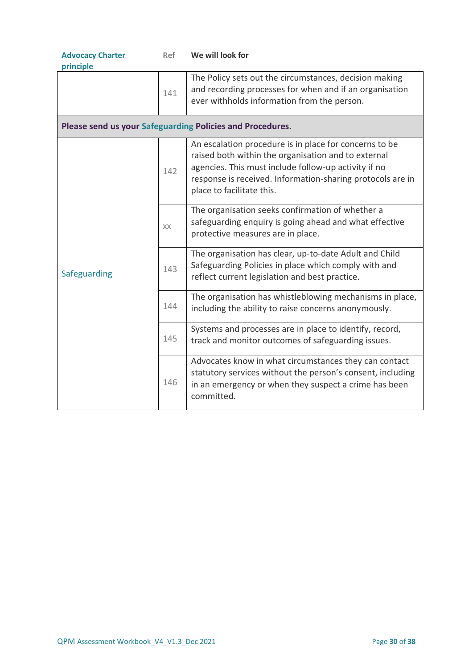| <b>Advocacy Charter</b><br>principle | Ref | We will look for                                                                                                                                                                                                                                                 |  |  |
|--------------------------------------|-----|------------------------------------------------------------------------------------------------------------------------------------------------------------------------------------------------------------------------------------------------------------------|--|--|
|                                      | 141 | The Policy sets out the circumstances, decision making<br>and recording processes for when and if an organisation<br>ever withholds information from the person.                                                                                                 |  |  |
|                                      |     | Please send us your Safeguarding Policies and Procedures.                                                                                                                                                                                                        |  |  |
| Safeguarding                         | 142 | An escalation procedure is in place for concerns to be<br>raised both within the organisation and to external<br>agencies. This must include follow-up activity if no<br>response is received. Information-sharing protocols are in<br>place to facilitate this. |  |  |
|                                      | XX  | The organisation seeks confirmation of whether a<br>safeguarding enquiry is going ahead and what effective<br>protective measures are in place.                                                                                                                  |  |  |
|                                      | 143 | The organisation has clear, up-to-date Adult and Child<br>Safeguarding Policies in place which comply with and<br>reflect current legislation and best practice.                                                                                                 |  |  |
|                                      | 144 | The organisation has whistleblowing mechanisms in place,<br>including the ability to raise concerns anonymously.                                                                                                                                                 |  |  |
|                                      | 145 | Systems and processes are in place to identify, record,<br>track and monitor outcomes of safeguarding issues.                                                                                                                                                    |  |  |
|                                      | 146 | Advocates know in what circumstances they can contact<br>statutory services without the person's consent, including<br>in an emergency or when they suspect a crime has been<br>committed.                                                                       |  |  |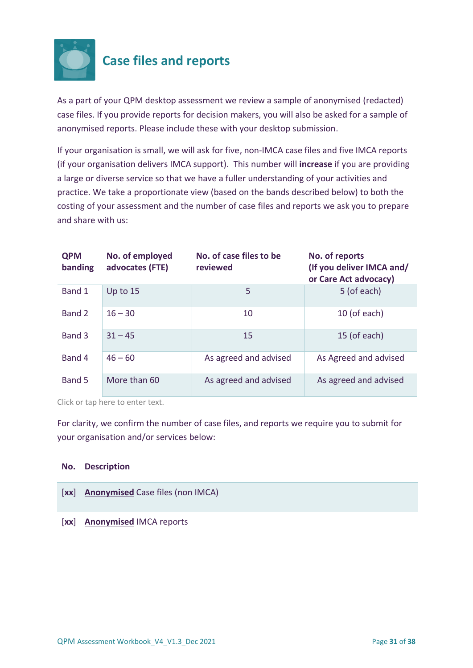

# <span id="page-30-0"></span>**Case files and reports**

As a part of your QPM desktop assessment we review a sample of anonymised (redacted) case files. If you provide reports for decision makers, you will also be asked for a sample of anonymised reports. Please include these with your desktop submission.

If your organisation is small, we will ask for five, non-IMCA case files and five IMCA reports (if your organisation delivers IMCA support). This number will **increase** if you are providing a large or diverse service so that we have a fuller understanding of your activities and practice. We take a proportionate view (based on the bands described below) to both the costing of your assessment and the number of case files and reports we ask you to prepare and share with us:

| <b>QPM</b><br>banding | No. of employed<br>advocates (FTE) | No. of case files to be<br>reviewed | No. of reports<br>(If you deliver IMCA and/<br>or Care Act advocacy) |
|-----------------------|------------------------------------|-------------------------------------|----------------------------------------------------------------------|
| Band 1                | Up to 15                           | 5                                   | 5 (of each)                                                          |
| Band 2                | $16 - 30$                          | 10                                  | 10 (of each)                                                         |
| Band 3                | $31 - 45$                          | 15                                  | 15 (of each)                                                         |
| Band 4                | $46 - 60$                          | As agreed and advised               | As Agreed and advised                                                |
| Band 5                | More than 60                       | As agreed and advised               | As agreed and advised                                                |

Click or tap here to enter text.

For clarity, we confirm the number of case files, and reports we require you to submit for your organisation and/or services below:

### **No. Description**

- [**xx**] **Anonymised** Case files (non IMCA)
- [**xx**] **Anonymised** IMCA reports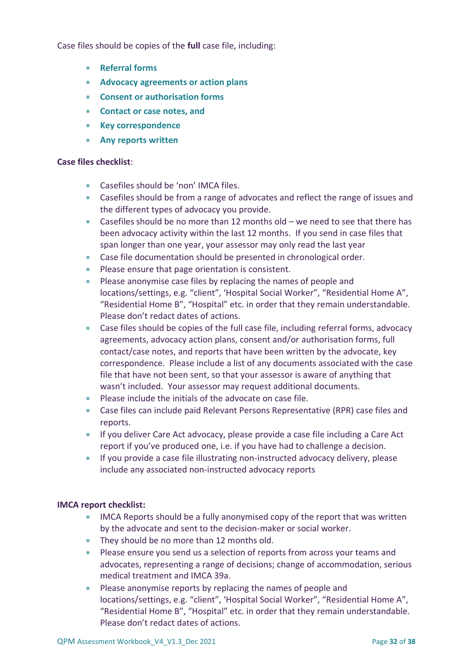Case files should be copies of the **full** case file, including:

- **Referral forms**
- **Advocacy agreements or action plans**
- **Consent or authorisation forms**
- **Contact or case notes, and**
- **Key correspondence**
- **Any reports written**

### **Case files checklist**:

- Casefiles should be 'non' IMCA files.
- Casefiles should be from a range of advocates and reflect the range of issues and the different types of advocacy you provide.
- Casefiles should be no more than 12 months old we need to see that there has been advocacy activity within the last 12 months. If you send in case files that span longer than one year, your assessor may only read the last year
- Case file documentation should be presented in chronological order.
- Please ensure that page orientation is consistent.
- Please anonymise case files by replacing the names of people and locations/settings, e.g. "client", 'Hospital Social Worker", "Residential Home A", "Residential Home B", "Hospital" etc. in order that they remain understandable. Please don't redact dates of actions.
- Case files should be copies of the full case file, including referral forms, advocacy agreements, advocacy action plans, consent and/or authorisation forms, full contact/case notes, and reports that have been written by the advocate, key correspondence. Please include a list of any documents associated with the case file that have not been sent, so that your assessor is aware of anything that wasn't included. Your assessor may request additional documents.
- Please include the initials of the advocate on case file.
- Case files can include paid Relevant Persons Representative (RPR) case files and reports.
- If you deliver Care Act advocacy, please provide a case file including a Care Act report if you've produced one, i.e. if you have had to challenge a decision.
- If you provide a case file illustrating non-instructed advocacy delivery, please include any associated non-instructed advocacy reports

### **IMCA report checklist:**

- IMCA Reports should be a fully anonymised copy of the report that was written by the advocate and sent to the decision-maker or social worker.
- They should be no more than 12 months old.
- Please ensure you send us a selection of reports from across your teams and advocates, representing a range of decisions; change of accommodation, serious medical treatment and IMCA 39a.
- Please anonymise reports by replacing the names of people and locations/settings, e.g. "client", 'Hospital Social Worker", "Residential Home A", "Residential Home B", "Hospital" etc. in order that they remain understandable. Please don't redact dates of actions.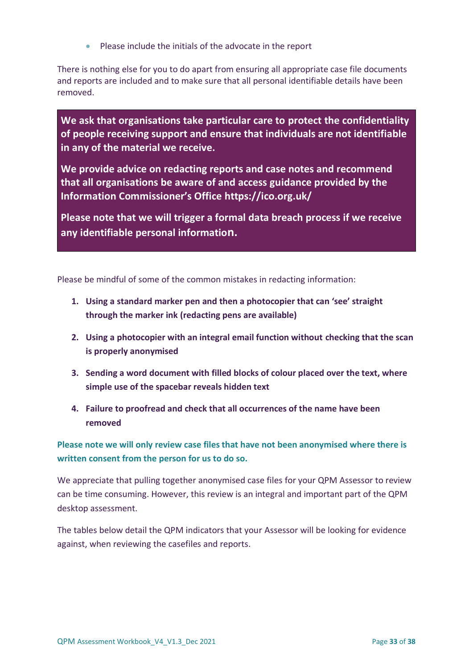• Please include the initials of the advocate in the report

There is nothing else for you to do apart from ensuring all appropriate case file documents and reports are included and to make sure that all personal identifiable details have been removed.

**We ask that organisations take particular care to protect the confidentiality of people receiving support and ensure that individuals are not identifiable in any of the material we receive.**

**We provide advice on redacting reports and case notes and recommend that all organisations be aware of and access guidance provided by the Information Commissioner's Office <https://ico.org.uk/>**

**Please note that we will trigger a formal data breach process if we receive any identifiable personal information.**

Please be mindful of some of the common mistakes in redacting information:

- **1. Using a standard marker pen and then a photocopier that can 'see' straight through the marker ink (redacting pens are available)**
- **2. Using a photocopier with an integral email function without checking that the scan is properly anonymised**
- **3. Sending a word document with filled blocks of colour placed over the text, where simple use of the spacebar reveals hidden text**
- **4. Failure to proofread and check that all occurrences of the name have been removed**

**Please note we will only review case files that have not been anonymised where there is written consent from the person for us to do so.**

We appreciate that pulling together anonymised case files for your QPM Assessor to review can be time consuming. However, this review is an integral and important part of the QPM desktop assessment.

The tables below detail the QPM indicators that your Assessor will be looking for evidence against, when reviewing the casefiles and reports.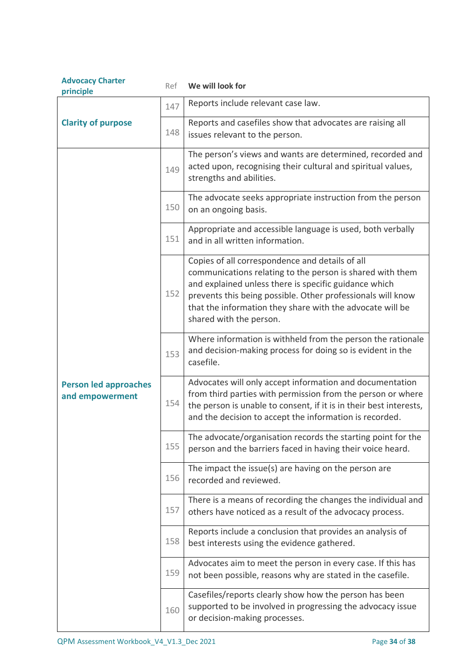| <b>Advocacy Charter</b><br>principle            | Ref | We will look for                                                                                                                                                                                                                                                                                                             |  |
|-------------------------------------------------|-----|------------------------------------------------------------------------------------------------------------------------------------------------------------------------------------------------------------------------------------------------------------------------------------------------------------------------------|--|
|                                                 | 147 | Reports include relevant case law.                                                                                                                                                                                                                                                                                           |  |
| <b>Clarity of purpose</b>                       | 148 | Reports and casefiles show that advocates are raising all<br>issues relevant to the person.                                                                                                                                                                                                                                  |  |
|                                                 | 149 | The person's views and wants are determined, recorded and<br>acted upon, recognising their cultural and spiritual values,<br>strengths and abilities.                                                                                                                                                                        |  |
|                                                 | 150 | The advocate seeks appropriate instruction from the person<br>on an ongoing basis.                                                                                                                                                                                                                                           |  |
|                                                 | 151 | Appropriate and accessible language is used, both verbally<br>and in all written information.                                                                                                                                                                                                                                |  |
| <b>Person led approaches</b><br>and empowerment | 152 | Copies of all correspondence and details of all<br>communications relating to the person is shared with them<br>and explained unless there is specific guidance which<br>prevents this being possible. Other professionals will know<br>that the information they share with the advocate will be<br>shared with the person. |  |
|                                                 | 153 | Where information is withheld from the person the rationale<br>and decision-making process for doing so is evident in the<br>casefile.                                                                                                                                                                                       |  |
|                                                 | 154 | Advocates will only accept information and documentation<br>from third parties with permission from the person or where<br>the person is unable to consent, if it is in their best interests,<br>and the decision to accept the information is recorded.                                                                     |  |
|                                                 | 155 | The advocate/organisation records the starting point for the<br>person and the barriers faced in having their voice heard.                                                                                                                                                                                                   |  |
|                                                 | 156 | The impact the issue(s) are having on the person are<br>recorded and reviewed.                                                                                                                                                                                                                                               |  |
|                                                 | 157 | There is a means of recording the changes the individual and<br>others have noticed as a result of the advocacy process.                                                                                                                                                                                                     |  |
|                                                 | 158 | Reports include a conclusion that provides an analysis of<br>best interests using the evidence gathered.                                                                                                                                                                                                                     |  |
|                                                 | 159 | Advocates aim to meet the person in every case. If this has<br>not been possible, reasons why are stated in the casefile.                                                                                                                                                                                                    |  |
|                                                 | 160 | Casefiles/reports clearly show how the person has been<br>supported to be involved in progressing the advocacy issue<br>or decision-making processes.                                                                                                                                                                        |  |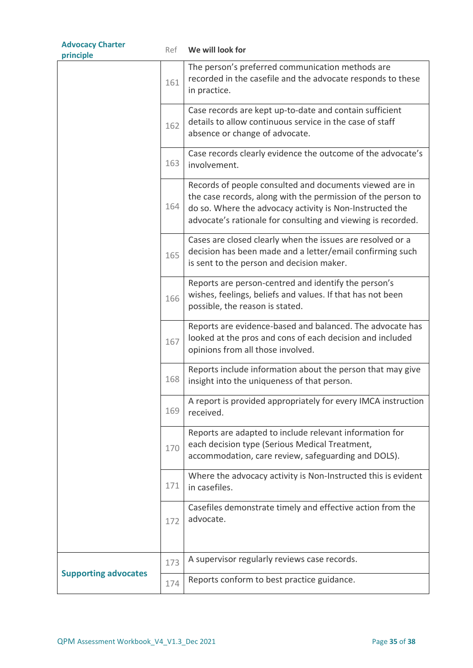| <b>Advocacy Charter</b><br>principle | Ref | We will look for                                                                                                                                                                                                                                    |
|--------------------------------------|-----|-----------------------------------------------------------------------------------------------------------------------------------------------------------------------------------------------------------------------------------------------------|
|                                      | 161 | The person's preferred communication methods are<br>recorded in the casefile and the advocate responds to these<br>in practice.                                                                                                                     |
|                                      | 162 | Case records are kept up-to-date and contain sufficient<br>details to allow continuous service in the case of staff<br>absence or change of advocate.                                                                                               |
|                                      | 163 | Case records clearly evidence the outcome of the advocate's<br>involvement.                                                                                                                                                                         |
|                                      | 164 | Records of people consulted and documents viewed are in<br>the case records, along with the permission of the person to<br>do so. Where the advocacy activity is Non-Instructed the<br>advocate's rationale for consulting and viewing is recorded. |
|                                      | 165 | Cases are closed clearly when the issues are resolved or a<br>decision has been made and a letter/email confirming such<br>is sent to the person and decision maker.                                                                                |
|                                      | 166 | Reports are person-centred and identify the person's<br>wishes, feelings, beliefs and values. If that has not been<br>possible, the reason is stated.                                                                                               |
|                                      | 167 | Reports are evidence-based and balanced. The advocate has<br>looked at the pros and cons of each decision and included<br>opinions from all those involved.                                                                                         |
|                                      | 168 | Reports include information about the person that may give<br>insight into the uniqueness of that person.                                                                                                                                           |
|                                      | 169 | A report is provided appropriately for every IMCA instruction<br>received.                                                                                                                                                                          |
|                                      | 170 | Reports are adapted to include relevant information for<br>each decision type (Serious Medical Treatment,<br>accommodation, care review, safeguarding and DOLS).                                                                                    |
|                                      | 171 | Where the advocacy activity is Non-Instructed this is evident<br>in casefiles.                                                                                                                                                                      |
|                                      | 172 | Casefiles demonstrate timely and effective action from the<br>advocate.                                                                                                                                                                             |
|                                      | 173 | A supervisor regularly reviews case records.                                                                                                                                                                                                        |
| <b>Supporting advocates</b>          | 174 | Reports conform to best practice guidance.                                                                                                                                                                                                          |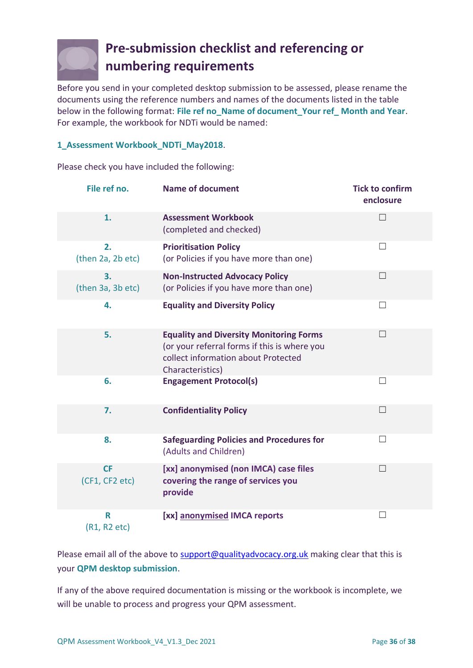

# <span id="page-35-0"></span>**Pre-submission checklist and referencing or numbering requirements**

Before you send in your completed desktop submission to be assessed, please rename the documents using the reference numbers and names of the documents listed in the table below in the following format: **File ref no\_Name of document\_Your ref\_ Month and Year**. For example, the workbook for NDTi would be named:

## **1\_Assessment Workbook\_NDTi\_May2018**.

Please check you have included the following:

| File ref no.                | <b>Name of document</b>                                                                                                                                   | <b>Tick to confirm</b><br>enclosure |
|-----------------------------|-----------------------------------------------------------------------------------------------------------------------------------------------------------|-------------------------------------|
| 1.                          | <b>Assessment Workbook</b><br>(completed and checked)                                                                                                     | $\Box$                              |
| 2.<br>(then 2a, 2b etc)     | <b>Prioritisation Policy</b><br>(or Policies if you have more than one)                                                                                   | П                                   |
| 3.<br>(then 3a, 3b etc)     | <b>Non-Instructed Advocacy Policy</b><br>(or Policies if you have more than one)                                                                          | $\Box$                              |
| 4.                          | <b>Equality and Diversity Policy</b>                                                                                                                      | $\perp$                             |
| 5.                          | <b>Equality and Diversity Monitoring Forms</b><br>(or your referral forms if this is where you<br>collect information about Protected<br>Characteristics) | $\Box$                              |
| 6.                          | <b>Engagement Protocol(s)</b>                                                                                                                             | П                                   |
| 7.                          | <b>Confidentiality Policy</b>                                                                                                                             | $\Box$                              |
| 8.                          | <b>Safeguarding Policies and Procedures for</b><br>(Adults and Children)                                                                                  | П                                   |
| <b>CF</b><br>(CF1, CF2 etc) | [xx] anonymised (non IMCA) case files<br>covering the range of services you<br>provide                                                                    | $\vert \ \ \vert$                   |
| R<br>(R1, R2 etc)           | [xx] anonymised IMCA reports                                                                                                                              | $\Box$                              |

Please email all of the above to [support@qualityadvocacy.org.uk](mailto:support@qualityadvocacy.org.uk) making clear that this is your **QPM desktop submission**.

If any of the above required documentation is missing or the workbook is incomplete, we will be unable to process and progress your QPM assessment.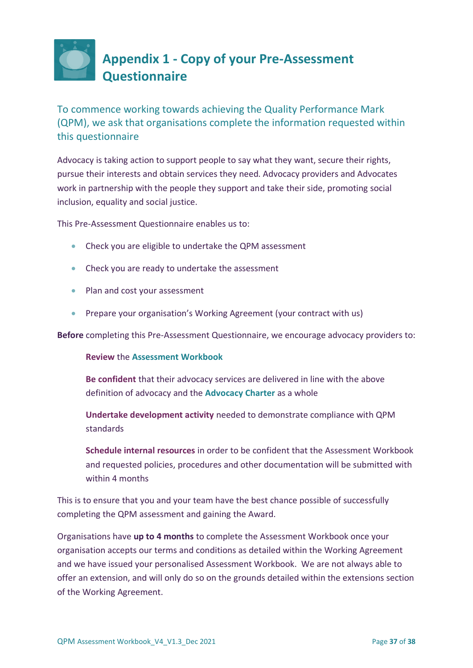<span id="page-36-0"></span>

To commence working towards achieving the Quality Performance Mark (QPM), we ask that organisations complete the information requested within this questionnaire

Advocacy is taking action to support people to say what they want, secure their rights, pursue their interests and obtain services they need. Advocacy providers and Advocates work in partnership with the people they support and take their side, promoting social inclusion, equality and social justice.

This Pre-Assessment Questionnaire enables us to:

- Check you are eligible to undertake the QPM assessment
- Check you are ready to undertake the assessment
- Plan and cost your assessment
- Prepare your organisation's Working Agreement (your contract with us)

**Before** completing this Pre-Assessment Questionnaire, we encourage advocacy providers to:

### **Review** the **Assessment Workbook**

**Be confident** that their advocacy services are delivered in line with the above definition of advocacy and the **Advocacy Charter** as a whole

**Undertake development activity** needed to demonstrate compliance with QPM standards

**Schedule internal resources** in order to be confident that the Assessment Workbook and requested policies, procedures and other documentation will be submitted with within 4 months

This is to ensure that you and your team have the best chance possible of successfully completing the QPM assessment and gaining the Award.

Organisations have **up to 4 months** to complete the Assessment Workbook once your organisation accepts our terms and conditions as detailed within the Working Agreement and we have issued your personalised Assessment Workbook. We are not always able to offer an extension, and will only do so on the grounds detailed within the extensions section of the Working Agreement.